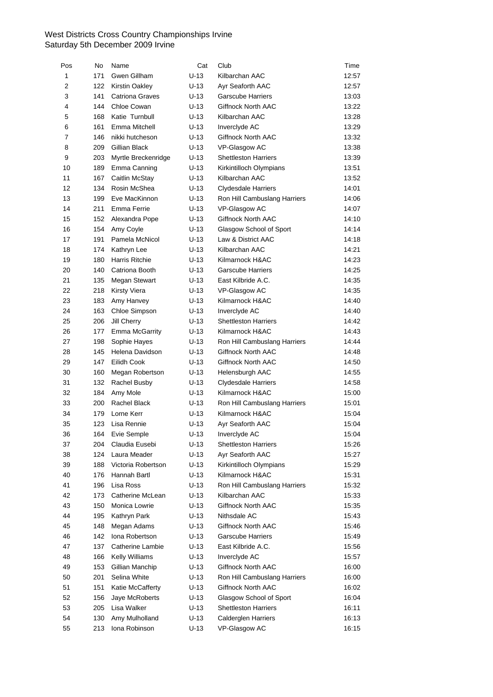| Pos | No  | Name                   | Cat    | Club                         | Time  |
|-----|-----|------------------------|--------|------------------------------|-------|
| 1   | 171 | Gwen Gillham           | $U-13$ | Kilbarchan AAC               | 12:57 |
| 2   | 122 | <b>Kirstin Oakley</b>  | $U-13$ | Ayr Seaforth AAC             | 12:57 |
| 3   | 141 | <b>Catriona Graves</b> | $U-13$ | <b>Garscube Harriers</b>     | 13:03 |
| 4   | 144 | Chloe Cowan            | $U-13$ | Giffnock North AAC           | 13:22 |
| 5   | 168 | Katie Turnbull         | $U-13$ | Kilbarchan AAC               | 13:28 |
| 6   | 161 | Emma Mitchell          | $U-13$ | Inverclyde AC                | 13:29 |
| 7   | 146 | nikki hutcheson        | $U-13$ | Giffnock North AAC           | 13:32 |
| 8   | 209 | Gillian Black          | $U-13$ | VP-Glasgow AC                | 13:38 |
| 9   | 203 | Myrtle Breckenridge    | U-13   | <b>Shettleston Harriers</b>  | 13:39 |
| 10  | 189 | Emma Canning           | U-13   | Kirkintilloch Olympians      | 13:51 |
| 11  | 167 | Caitlin McStay         | $U-13$ | Kilbarchan AAC               | 13:52 |
| 12  | 134 | Rosin McShea           | $U-13$ | <b>Clydesdale Harriers</b>   | 14:01 |
| 13  | 199 | Eve MacKinnon          | $U-13$ | Ron Hill Cambuslang Harriers | 14:06 |
| 14  | 211 | Emma Ferrie            | $U-13$ | VP-Glasgow AC                | 14:07 |
| 15  | 152 | Alexandra Pope         | U-13   | Giffnock North AAC           | 14:10 |
| 16  | 154 | Amy Coyle              | U-13   | Glasgow School of Sport      | 14:14 |
| 17  | 191 | Pamela McNicol         | U-13   | Law & District AAC           | 14:18 |
| 18  | 174 | Kathryn Lee            | $U-13$ | Kilbarchan AAC               | 14:21 |
| 19  | 180 | <b>Harris Ritchie</b>  | $U-13$ | Kilmarnock H&AC              | 14:23 |
| 20  | 140 | Catriona Booth         | $U-13$ | <b>Garscube Harriers</b>     | 14:25 |
| 21  | 135 | Megan Stewart          | $U-13$ | East Kilbride A.C.           | 14:35 |
| 22  | 218 | <b>Kirsty Viera</b>    | $U-13$ | VP-Glasgow AC                | 14:35 |
| 23  | 183 | Amy Hanvey             | U-13   | Kilmarnock H&AC              | 14:40 |
| 24  | 163 | Chloe Simpson          | U-13   | Inverclyde AC                | 14:40 |
| 25  | 206 | Jill Cherry            | $U-13$ | <b>Shettleston Harriers</b>  | 14:42 |
| 26  | 177 | Emma McGarrity         | U-13   | Kilmarnock H&AC              | 14:43 |
| 27  | 198 | Sophie Hayes           | $U-13$ | Ron Hill Cambuslang Harriers | 14:44 |
| 28  | 145 | Helena Davidson        | $U-13$ | <b>Giffnock North AAC</b>    | 14:48 |
| 29  | 147 | Eilidh Cook            | $U-13$ | Giffnock North AAC           | 14:50 |
| 30  | 160 | Megan Robertson        | $U-13$ | Helensburgh AAC              | 14:55 |
| 31  | 132 | Rachel Busby           | U-13   | <b>Clydesdale Harriers</b>   | 14:58 |
| 32  | 184 | Amy Mole               | U-13   | Kilmarnock H&AC              | 15:00 |
| 33  | 200 | Rachel Black           | U-13   | Ron Hill Cambuslang Harriers | 15:01 |
| 34  | 179 | Lorne Kerr             | U-13   | Kilmarnock H&AC              | 15:04 |
| 35  | 123 | Lisa Rennie            | U-13   | Ayr Seaforth AAC             | 15:04 |
| 36  | 164 | Evie Semple            | $U-13$ | Inverclyde AC                | 15:04 |
| 37  | 204 | Claudia Eusebi         | $U-13$ | <b>Shettleston Harriers</b>  | 15:26 |
| 38  | 124 | Laura Meader           | $U-13$ | Ayr Seaforth AAC             |       |
| 39  | 188 | Victoria Robertson     |        |                              | 15:27 |
|     |     | Hannah Bartl           | U-13   | Kirkintilloch Olympians      | 15:29 |
| 40  | 176 |                        | U-13   | Kilmarnock H&AC              | 15:31 |
| 41  | 196 | Lisa Ross              | U-13   | Ron Hill Cambuslang Harriers | 15:32 |
| 42  | 173 | Catherine McLean       | U-13   | Kilbarchan AAC               | 15:33 |
| 43  | 150 | Monica Lowrie          | U-13   | <b>Giffnock North AAC</b>    | 15:35 |
| 44  | 195 | Kathryn Park           | $U-13$ | Nithsdale AC                 | 15:43 |
| 45  | 148 | Megan Adams            | $U-13$ | Giffnock North AAC           | 15:46 |
| 46  | 142 | Iona Robertson         | $U-13$ | <b>Garscube Harriers</b>     | 15:49 |
| 47  | 137 | Catherine Lambie       | U-13   | East Kilbride A.C.           | 15:56 |
| 48  | 166 | Kelly Williams         | U-13   | Inverclyde AC                | 15:57 |
| 49  | 153 | Gillian Manchip        | U-13   | Giffnock North AAC           | 16:00 |
| 50  | 201 | Selina White           | U-13   | Ron Hill Cambuslang Harriers | 16:00 |
| 51  | 151 | Katie McCafferty       | $U-13$ | Giffnock North AAC           | 16:02 |
| 52  | 156 | Jaye McRoberts         | $U-13$ | Glasgow School of Sport      | 16:04 |
| 53  | 205 | Lisa Walker            | $U-13$ | <b>Shettleston Harriers</b>  | 16:11 |
| 54  | 130 | Amy Mulholland         | $U-13$ | Calderglen Harriers          | 16:13 |
| 55  | 213 | Iona Robinson          | $U-13$ | VP-Glasgow AC                | 16:15 |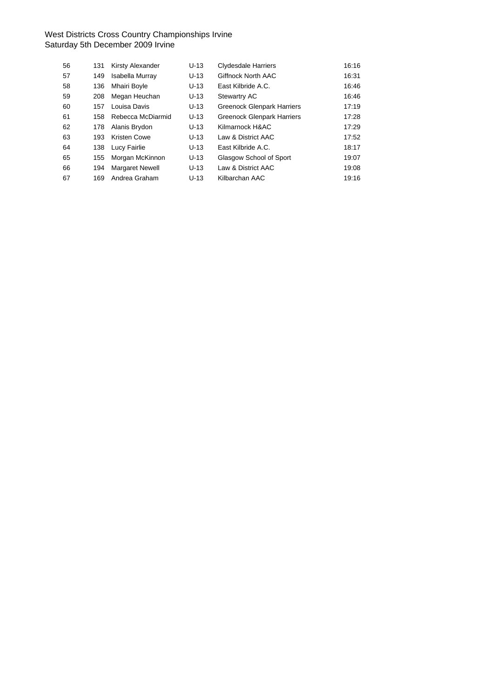| 56 | 131 | <b>Kirsty Alexander</b> | $U-13$ | <b>Clydesdale Harriers</b>        | 16:16 |
|----|-----|-------------------------|--------|-----------------------------------|-------|
| 57 | 149 | Isabella Murray         | $U-13$ | Giffnock North AAC                | 16:31 |
| 58 | 136 | Mhairi Boyle            | $U-13$ | East Kilbride A.C.                | 16:46 |
| 59 | 208 | Megan Heuchan           | $U-13$ | Stewartry AC                      | 16:46 |
| 60 | 157 | Louisa Davis            | $U-13$ | <b>Greenock Glenpark Harriers</b> | 17:19 |
| 61 | 158 | Rebecca McDiarmid       | $U-13$ | <b>Greenock Glenpark Harriers</b> | 17:28 |
| 62 | 178 | Alanis Brydon           | $U-13$ | Kilmarnock H&AC                   | 17:29 |
| 63 | 193 | <b>Kristen Cowe</b>     | $U-13$ | Law & District AAC                | 17:52 |
| 64 | 138 | Lucy Fairlie            | $U-13$ | East Kilbride A.C.                | 18:17 |
| 65 | 155 | Morgan McKinnon         | $U-13$ | Glasgow School of Sport           | 19:07 |
| 66 | 194 | <b>Margaret Newell</b>  | $U-13$ | Law & District AAC                | 19:08 |
| 67 | 169 | Andrea Graham           | $U-13$ | Kilbarchan AAC                    | 19:16 |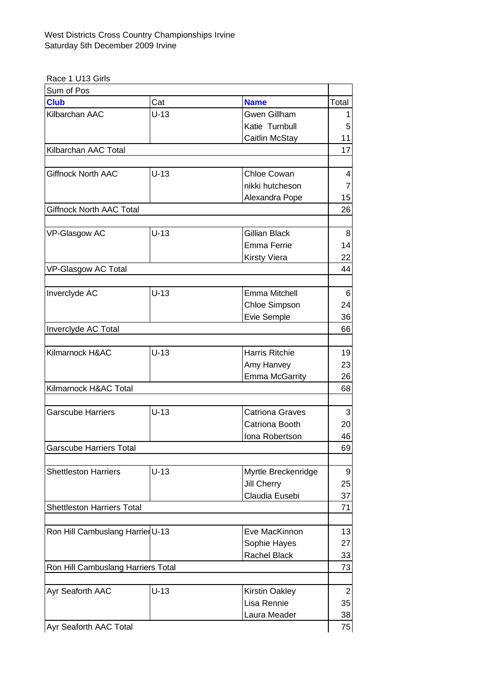Race 1 U13 Girls

| Sum of Pos                         |        |                        |                |
|------------------------------------|--------|------------------------|----------------|
| <b>Club</b>                        | Cat    | <b>Name</b>            | Total          |
| Kilbarchan AAC                     | $U-13$ | <b>Gwen Gillham</b>    |                |
|                                    |        | Katie Turnbull         | 5              |
|                                    |        | Caitlin McStay         | 11             |
| Kilbarchan AAC Total               |        |                        | 17             |
|                                    |        |                        |                |
| <b>Giffnock North AAC</b>          | $U-13$ | <b>Chloe Cowan</b>     | 4              |
|                                    |        | nikki hutcheson        | $\overline{7}$ |
|                                    |        | Alexandra Pope         | 15             |
| <b>Giffnock North AAC Total</b>    |        |                        | 26             |
|                                    |        |                        |                |
| VP-Glasgow AC                      | $U-13$ | Gillian Black          | 8              |
|                                    |        | Emma Ferrie            | 14             |
|                                    |        | <b>Kirsty Viera</b>    | 22             |
| VP-Glasgow AC Total                |        |                        | 44             |
|                                    |        |                        |                |
| Inverclyde AC                      | $U-13$ | Emma Mitchell          | 6              |
|                                    |        | Chloe Simpson          | 24             |
|                                    |        | Evie Semple            | 36             |
| Inverclyde AC Total                |        |                        | 66             |
|                                    |        |                        |                |
| Kilmarnock H&AC                    | $U-13$ | Harris Ritchie         | 19             |
|                                    |        | Amy Hanvey             | 23             |
|                                    |        | <b>Emma McGarrity</b>  | 26             |
| Kilmarnock H&AC Total              |        |                        | 68             |
|                                    |        |                        |                |
| <b>Garscube Harriers</b>           | $U-13$ | <b>Catriona Graves</b> | 3              |
|                                    |        | Catriona Booth         | 20             |
|                                    |        | Iona Robertson         | 46             |
| <b>Garscube Harriers Total</b>     |        |                        | 69             |
|                                    |        |                        |                |
| <b>Shettleston Harriers</b>        | $U-13$ | Myrtle Breckenridge    | 9              |
|                                    |        | Jill Cherry            | 25             |
|                                    |        | Claudia Eusebi         | 37             |
| <b>Shettleston Harriers Total</b>  |        |                        | 71             |
|                                    |        |                        |                |
| Ron Hill Cambuslang Harrier U-13   |        | Eve MacKinnon          | 13             |
|                                    |        | Sophie Hayes           | 27             |
|                                    |        | Rachel Black           | 33             |
| Ron Hill Cambuslang Harriers Total |        |                        | 73             |
|                                    |        |                        |                |
| Ayr Seaforth AAC                   | $U-13$ | Kirstin Oakley         | $\overline{2}$ |
|                                    |        | Lisa Rennie            | 35             |
|                                    |        | Laura Meader           | 38             |
| Ayr Seaforth AAC Total             |        |                        | 75             |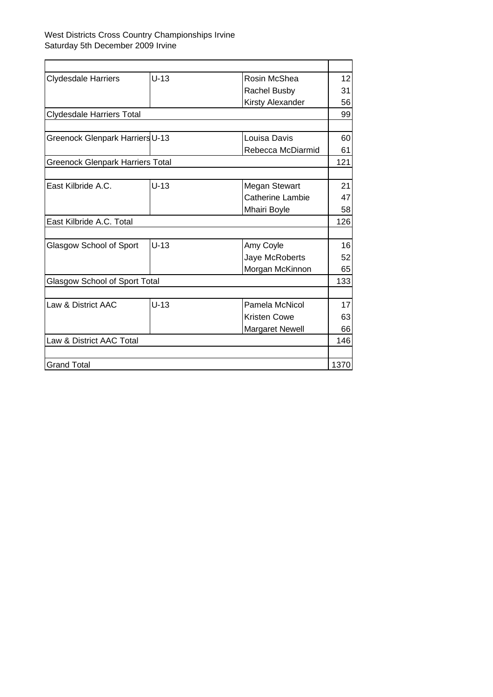| <b>Clydesdale Harriers</b>              | $U-13$ | Rosin McShea            | 12   |
|-----------------------------------------|--------|-------------------------|------|
|                                         |        | <b>Rachel Busby</b>     | 31   |
|                                         |        | Kirsty Alexander        | 56   |
| <b>Clydesdale Harriers Total</b>        |        |                         | 99   |
|                                         |        |                         |      |
| Greenock Glenpark Harriers U-13         |        | Louisa Davis            | 60   |
|                                         |        | Rebecca McDiarmid       | 61   |
| <b>Greenock Glenpark Harriers Total</b> |        |                         | 121  |
|                                         |        |                         |      |
| East Kilbride A.C.                      | $U-13$ | Megan Stewart           | 21   |
|                                         |        | <b>Catherine Lambie</b> | 47   |
|                                         |        | Mhairi Boyle            | 58   |
| East Kilbride A.C. Total                |        |                         | 126  |
|                                         |        |                         |      |
| Glasgow School of Sport                 | $U-13$ | Amy Coyle               | 16   |
|                                         |        | Jaye McRoberts          | 52   |
|                                         |        | Morgan McKinnon         | 65   |
| Glasgow School of Sport Total           |        |                         | 133  |
|                                         |        |                         |      |
| Law & District AAC                      | $U-13$ | Pamela McNicol          | 17   |
|                                         |        | <b>Kristen Cowe</b>     | 63   |
|                                         |        | <b>Margaret Newell</b>  | 66   |
| Law & District AAC Total                |        |                         | 146  |
|                                         |        |                         |      |
| <b>Grand Total</b>                      |        |                         | 1370 |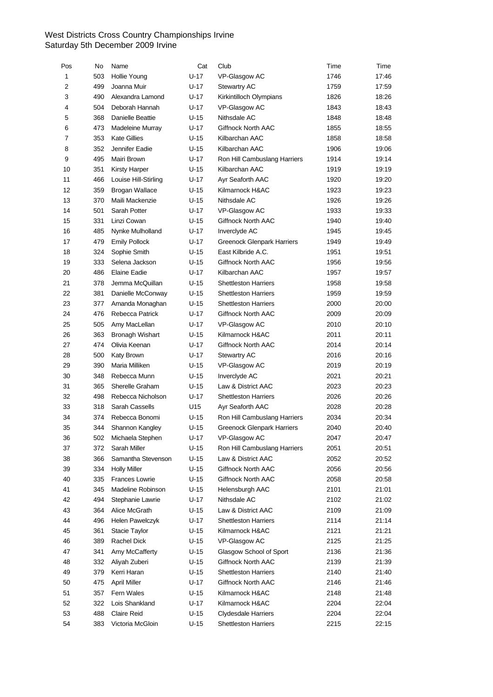| Pos | No  | Name                   | Cat    | Club                              | Time | Time  |
|-----|-----|------------------------|--------|-----------------------------------|------|-------|
| 1   | 503 | Hollie Young           | U-17   | VP-Glasgow AC                     | 1746 | 17:46 |
| 2   | 499 | Joanna Muir            | U-17   | <b>Stewartry AC</b>               | 1759 | 17:59 |
| 3   | 490 | Alexandra Lamond       | U-17   | Kirkintilloch Olympians           | 1826 | 18:26 |
| 4   | 504 | Deborah Hannah         | U-17   | VP-Glasgow AC                     | 1843 | 18:43 |
| 5   | 368 | Danielle Beattie       | U-15   | Nithsdale AC                      | 1848 | 18:48 |
| 6   | 473 | Madeleine Murray       | $U-17$ | Giffnock North AAC                | 1855 | 18:55 |
| 7   | 353 | <b>Kate Gillies</b>    | $U-15$ | Kilbarchan AAC                    | 1858 | 18:58 |
| 8   | 352 | Jennifer Eadie         | $U-15$ | Kilbarchan AAC                    | 1906 | 19:06 |
| 9   | 495 | Mairi Brown            | U-17   | Ron Hill Cambuslang Harriers      | 1914 | 19:14 |
| 10  | 351 | <b>Kirsty Harper</b>   | U-15   | Kilbarchan AAC                    | 1919 | 19:19 |
| 11  | 466 | Louise Hill-Stirling   | U-17   | Ayr Seaforth AAC                  | 1920 | 19:20 |
| 12  | 359 | <b>Brogan Wallace</b>  | U-15   | Kilmarnock H&AC                   | 1923 | 19:23 |
| 13  | 370 | Maili Mackenzie        | $U-15$ | Nithsdale AC                      | 1926 | 19:26 |
| 14  | 501 | Sarah Potter           | U-17   | VP-Glasgow AC                     | 1933 | 19:33 |
| 15  | 331 | Linzi Cowan            | $U-15$ | Giffnock North AAC                | 1940 | 19:40 |
| 16  | 485 | Nynke Mulholland       | U-17   | Inverclyde AC                     | 1945 | 19:45 |
| 17  | 479 | <b>Emily Pollock</b>   | U-17   | <b>Greenock Glenpark Harriers</b> | 1949 | 19:49 |
| 18  | 324 | Sophie Smith           | $U-15$ | East Kilbride A.C.                | 1951 | 19:51 |
| 19  | 333 | Selena Jackson         | $U-15$ | Giffnock North AAC                | 1956 | 19:56 |
| 20  | 486 | Elaine Eadie           | U-17   | Kilbarchan AAC                    | 1957 | 19:57 |
| 21  | 378 | Jemma McQuillan        | $U-15$ | <b>Shettleston Harriers</b>       | 1958 | 19:58 |
| 22  | 381 | Danielle McConway      | $U-15$ | <b>Shettleston Harriers</b>       | 1959 | 19:59 |
| 23  | 377 | Amanda Monaghan        | U-15   | <b>Shettleston Harriers</b>       | 2000 | 20:00 |
| 24  | 476 | Rebecca Patrick        | U-17   | Giffnock North AAC                | 2009 | 20:09 |
|     |     |                        |        |                                   |      |       |
| 25  | 505 | Amy MacLellan          | $U-17$ | VP-Glasgow AC                     | 2010 | 20:10 |
| 26  | 363 | <b>Bronagh Wishart</b> | U-15   | Kilmarnock H&AC                   | 2011 | 20:11 |
| 27  | 474 | Olivia Keenan          | U-17   | Giffnock North AAC                | 2014 | 20:14 |
| 28  | 500 | Katy Brown             | U-17   | <b>Stewartry AC</b>               | 2016 | 20:16 |
| 29  | 390 | Maria Milliken         | $U-15$ | VP-Glasgow AC                     | 2019 | 20:19 |
| 30  | 348 | Rebecca Munn           | U-15   | Inverclyde AC                     | 2021 | 20:21 |
| 31  | 365 | Sherelle Graham        | $U-15$ | Law & District AAC                | 2023 | 20:23 |
| 32  | 498 | Rebecca Nicholson      | $U-17$ | <b>Shettleston Harriers</b>       | 2026 | 20:26 |
| 33  | 318 | Sarah Cassells         | U15    | Ayr Seaforth AAC                  | 2028 | 20:28 |
| 34  | 374 | Rebecca Bonomi         | U-15   | Ron Hill Cambuslang Harriers      | 2034 | 20:34 |
| 35  | 344 | Shannon Kangley        | U-15   | <b>Greenock Glenpark Harriers</b> | 2040 | 20:40 |
| 36  | 502 | Michaela Stephen       | $U-17$ | VP-Glasgow AC                     | 2047 | 20:47 |
| 37  | 372 | Sarah Miller           | $U-15$ | Ron Hill Cambuslang Harriers      | 2051 | 20:51 |
| 38  | 366 | Samantha Stevenson     | U-15   | Law & District AAC                | 2052 | 20:52 |
| 39  | 334 | <b>Holly Miller</b>    | U-15   | Giffnock North AAC                | 2056 | 20:56 |
| 40  | 335 | <b>Frances Lowrie</b>  | U-15   | Giffnock North AAC                | 2058 | 20:58 |
| 41  | 345 | Madeline Robinson      | U-15   | Helensburgh AAC                   | 2101 | 21:01 |
| 42  | 494 | Stephanie Lawrie       | U-17   | Nithsdale AC                      | 2102 | 21:02 |
| 43  | 364 | Alice McGrath          | U-15   | Law & District AAC                | 2109 | 21:09 |
| 44  | 496 | Helen Pawelczyk        | U-17   | <b>Shettleston Harriers</b>       | 2114 | 21:14 |
| 45  | 361 | Stacie Taylor          | U-15   | Kilmarnock H&AC                   | 2121 | 21:21 |
| 46  | 389 | Rachel Dick            | U-15   | VP-Glasgow AC                     | 2125 | 21:25 |
| 47  | 341 | Amy McCafferty         | U-15   | Glasgow School of Sport           | 2136 | 21:36 |
| 48  | 332 | Aliyah Zuberi          | U-15   | Giffnock North AAC                | 2139 | 21:39 |
| 49  | 379 | Kerri Haran            | U-15   | <b>Shettleston Harriers</b>       | 2140 | 21:40 |
| 50  | 475 | <b>April Miller</b>    | U-17   | Giffnock North AAC                | 2146 | 21:46 |
| 51  | 357 | Fern Wales             | U-15   | Kilmarnock H&AC                   | 2148 | 21:48 |
| 52  | 322 | Lois Shankland         | U-17   | Kilmarnock H&AC                   | 2204 | 22:04 |
| 53  | 488 | Claire Reid            | U-15   | Clydesdale Harriers               | 2204 | 22:04 |
| 54  | 383 | Victoria McGloin       | U-15   | <b>Shettleston Harriers</b>       | 2215 | 22:15 |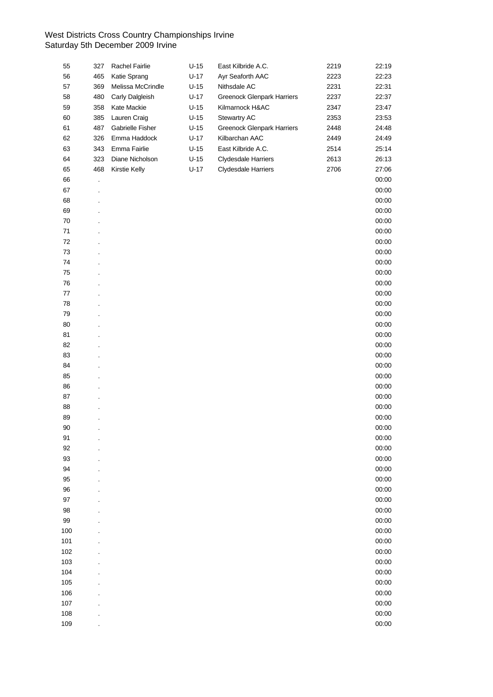| 55      | 327     | Rachel Fairlie    | $U-15$ | East Kilbride A.C.                | 2219 | 22:19 |
|---------|---------|-------------------|--------|-----------------------------------|------|-------|
| 56      | 465     | Katie Sprang      | $U-17$ | Ayr Seaforth AAC                  | 2223 | 22:23 |
| 57      | 369     | Melissa McCrindle | $U-15$ | Nithsdale AC                      | 2231 | 22:31 |
| 58      | 480     | Carly Dalgleish   | $U-17$ | <b>Greenock Glenpark Harriers</b> | 2237 | 22:37 |
| 59      | 358     | Kate Mackie       | $U-15$ | Kilmarnock H&AC                   | 2347 | 23:47 |
| 60      | 385     | Lauren Craig      | $U-15$ | Stewartry AC                      | 2353 | 23:53 |
| 61      | 487     | Gabrielle Fisher  | $U-15$ | <b>Greenock Glenpark Harriers</b> | 2448 | 24:48 |
| 62      | 326     | Emma Haddock      | $U-17$ | Kilbarchan AAC                    | 2449 | 24:49 |
| 63      | 343     | Emma Fairlie      | $U-15$ | East Kilbride A.C.                | 2514 | 25:14 |
| 64      | 323     | Diane Nicholson   | $U-15$ | <b>Clydesdale Harriers</b>        | 2613 | 26:13 |
| 65      | 468     | Kirstie Kelly     | $U-17$ | <b>Clydesdale Harriers</b>        | 2706 | 27:06 |
| 66      | $\cdot$ |                   |        |                                   |      | 00:00 |
| 67      |         |                   |        |                                   |      | 00:00 |
| 68      |         |                   |        |                                   |      | 00:00 |
| 69      |         |                   |        |                                   |      | 00:00 |
| 70      |         |                   |        |                                   |      | 00:00 |
| $71$    |         |                   |        |                                   |      | 00:00 |
| 72      |         |                   |        |                                   |      | 00:00 |
| 73      |         |                   |        |                                   |      | 00:00 |
| 74      |         |                   |        |                                   |      | 00:00 |
| 75      |         |                   |        |                                   |      | 00:00 |
| 76      |         |                   |        |                                   |      | 00:00 |
| $77 \,$ |         |                   |        |                                   |      | 00:00 |
| 78      |         |                   |        |                                   |      | 00:00 |
| 79      |         |                   |        |                                   |      | 00:00 |
| 80      |         |                   |        |                                   |      | 00:00 |
| 81      |         |                   |        |                                   |      | 00:00 |
|         |         |                   |        |                                   |      |       |
| 82      |         |                   |        |                                   |      | 00:00 |
| 83      |         |                   |        |                                   |      | 00:00 |
| 84      |         |                   |        |                                   |      | 00:00 |
| 85      |         |                   |        |                                   |      | 00:00 |
| 86      |         |                   |        |                                   |      | 00:00 |
| 87      |         |                   |        |                                   |      | 00:00 |
| 88      |         |                   |        |                                   |      | 00:00 |
| 89      |         |                   |        |                                   |      | 00:00 |
| 90      |         |                   |        |                                   |      | 00:00 |
| 91      |         |                   |        |                                   |      | 00:00 |
| 92      |         |                   |        |                                   |      | 00:00 |
| 93      |         |                   |        |                                   |      | 00:00 |
| 94      |         |                   |        |                                   |      | 00:00 |
| 95      |         |                   |        |                                   |      | 00:00 |
| 96      |         |                   |        |                                   |      | 00:00 |
| 97      |         |                   |        |                                   |      | 00:00 |
| 98      |         |                   |        |                                   |      | 00:00 |
| 99      |         |                   |        |                                   |      | 00:00 |
| 100     |         |                   |        |                                   |      | 00:00 |
| 101     |         |                   |        |                                   |      | 00:00 |
| 102     |         |                   |        |                                   |      | 00:00 |
| 103     |         |                   |        |                                   |      | 00:00 |
| 104     |         |                   |        |                                   |      | 00:00 |
| 105     |         |                   |        |                                   |      | 00:00 |
| 106     |         |                   |        |                                   |      | 00:00 |
| 107     |         |                   |        |                                   |      | 00:00 |
| 108     |         |                   |        |                                   |      | 00:00 |
| 109     |         |                   |        |                                   |      | 00:00 |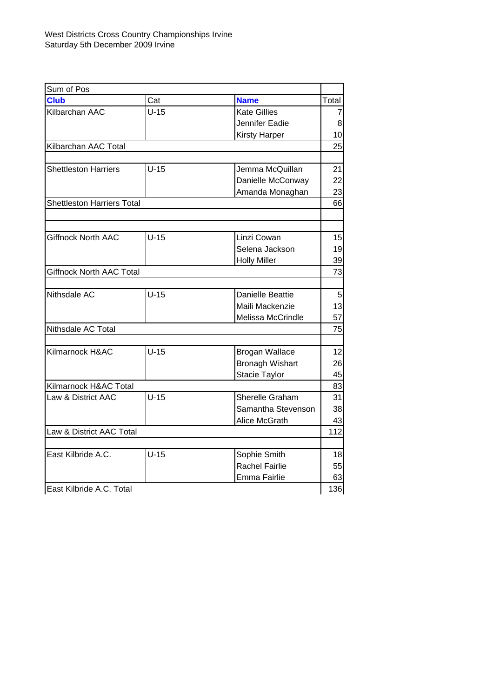| Sum of Pos                        |        |                         |       |
|-----------------------------------|--------|-------------------------|-------|
| <b>Club</b>                       | Cat    | <b>Name</b>             | Total |
| Kilbarchan AAC                    | $U-15$ | <b>Kate Gillies</b>     | 7     |
|                                   |        | Jennifer Eadie          | 8     |
|                                   |        | <b>Kirsty Harper</b>    | 10    |
| Kilbarchan AAC Total              |        |                         | 25    |
|                                   |        |                         |       |
| <b>Shettleston Harriers</b>       | $U-15$ | Jemma McQuillan         | 21    |
|                                   |        | Danielle McConway       | 22    |
|                                   |        | Amanda Monaghan         | 23    |
| <b>Shettleston Harriers Total</b> |        |                         | 66    |
|                                   |        |                         |       |
| <b>Giffnock North AAC</b>         | $U-15$ | Linzi Cowan             | 15    |
|                                   |        | Selena Jackson          | 19    |
|                                   |        | <b>Holly Miller</b>     | 39    |
| <b>Giffnock North AAC Total</b>   |        |                         | 73    |
|                                   |        |                         |       |
| Nithsdale AC                      | $U-15$ | <b>Danielle Beattie</b> | 5     |
|                                   |        | Maili Mackenzie         | 13    |
|                                   |        | Melissa McCrindle       | 57    |
| Nithsdale AC Total                |        |                         | 75    |
|                                   |        |                         |       |
| Kilmarnock H&AC                   | $U-15$ | <b>Brogan Wallace</b>   | 12    |
|                                   |        | <b>Bronagh Wishart</b>  | 26    |
|                                   |        | Stacie Taylor           | 45    |
| Kilmarnock H&AC Total             |        |                         | 83    |
| Law & District AAC                | $U-15$ | Sherelle Graham         | 31    |
|                                   |        | Samantha Stevenson      | 38    |
|                                   |        | Alice McGrath           | 43    |
| Law & District AAC Total          |        |                         | 112   |
| East Kilbride A.C.                | $U-15$ | Sophie Smith            | 18    |
|                                   |        | <b>Rachel Fairlie</b>   | 55    |
|                                   |        | Emma Fairlie            | 63    |
| East Kilbride A.C. Total          |        |                         | 136   |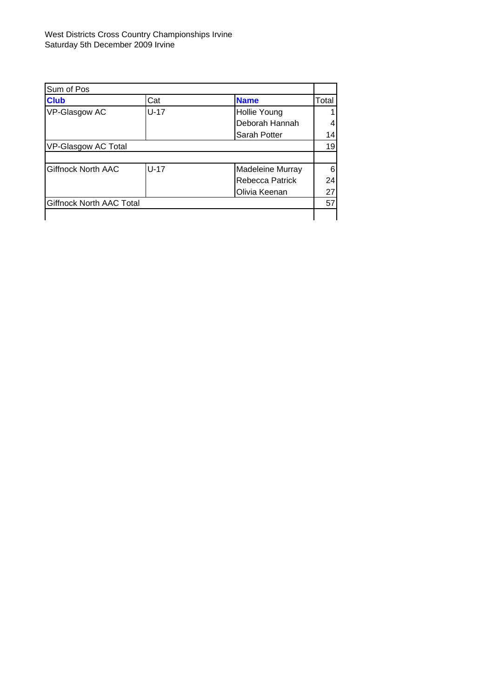| Sum of Pos                      |        |                     |       |
|---------------------------------|--------|---------------------|-------|
| <b>Club</b>                     | Cat    | <b>Name</b>         | Total |
| VP-Glasgow AC                   | $U-17$ | <b>Hollie Young</b> |       |
|                                 |        | Deborah Hannah      |       |
|                                 |        | Sarah Potter        | 14    |
| VP-Glasgow AC Total             |        |                     |       |
|                                 |        |                     |       |
| <b>Giffnock North AAC</b>       | $U-17$ | Madeleine Murray    | 6     |
|                                 |        | Rebecca Patrick     | 24    |
|                                 |        | Olivia Keenan       | 27    |
| <b>Giffnock North AAC Total</b> |        |                     | 57    |
|                                 |        |                     |       |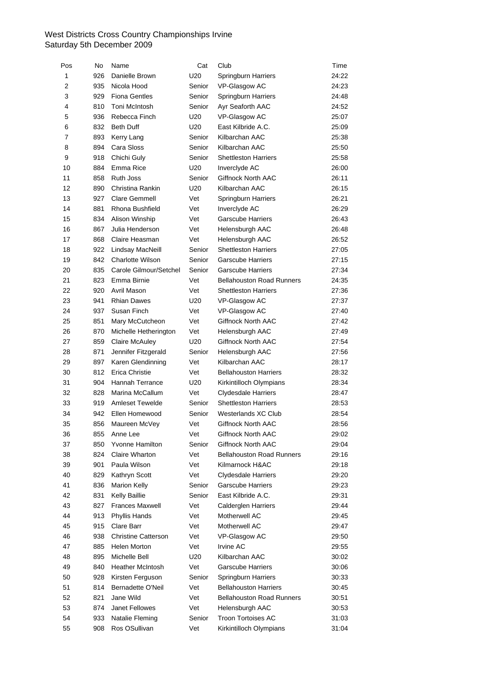| Pos            | No  | Name                       | Cat    | Club                             | Time  |
|----------------|-----|----------------------------|--------|----------------------------------|-------|
| $\mathbf{1}$   | 926 | Danielle Brown             | U20    | <b>Springburn Harriers</b>       | 24:22 |
| $\overline{2}$ | 935 | Nicola Hood                | Senior | VP-Glasgow AC                    | 24:23 |
| 3              | 929 | <b>Fiona Gentles</b>       | Senior | Springburn Harriers              | 24:48 |
| 4              | 810 | Toni McIntosh              | Senior | Ayr Seaforth AAC                 | 24:52 |
| 5              | 936 | Rebecca Finch              | U20    | VP-Glasgow AC                    | 25:07 |
| 6              | 832 | <b>Beth Duff</b>           | U20    | East Kilbride A.C.               | 25:09 |
| 7              | 893 | Kerry Lang                 | Senior | Kilbarchan AAC                   | 25:38 |
| 8              | 894 | Cara Sloss                 | Senior | Kilbarchan AAC                   | 25:50 |
| 9              | 918 | Chichi Guly                | Senior | <b>Shettleston Harriers</b>      | 25:58 |
| 10             | 884 | Emma Rice                  | U20    | Inverclyde AC                    | 26:00 |
| 11             | 858 | <b>Ruth Joss</b>           | Senior | Giffnock North AAC               | 26:11 |
| 12             | 890 | Christina Rankin           | U20    | Kilbarchan AAC                   | 26:15 |
| 13             | 927 | <b>Clare Gemmell</b>       | Vet    | Springburn Harriers              | 26:21 |
| 14             | 881 | Rhona Bushfield            | Vet    | Inverclyde AC                    | 26:29 |
| 15             | 834 | Alison Winship             | Vet    | <b>Garscube Harriers</b>         | 26:43 |
| 16             | 867 | Julia Henderson            | Vet    | Helensburgh AAC                  | 26:48 |
| 17             | 868 | Claire Heasman             | Vet    | Helensburgh AAC                  | 26:52 |
| 18             | 922 | Lindsay MacNeill           | Senior | <b>Shettleston Harriers</b>      | 27:05 |
| 19             | 842 | <b>Charlotte Wilson</b>    | Senior | <b>Garscube Harriers</b>         | 27:15 |
| 20             | 835 | Carole Gilmour/Setchel     | Senior | <b>Garscube Harriers</b>         | 27:34 |
| 21             | 823 | Emma Birnie                | Vet    | <b>Bellahouston Road Runners</b> | 24:35 |
| 22             | 920 | Avril Mason                | Vet    | <b>Shettleston Harriers</b>      | 27:36 |
| 23             | 941 | <b>Rhian Dawes</b>         | U20    | VP-Glasgow AC                    | 27:37 |
| 24             | 937 | Susan Finch                | Vet    | VP-Glasgow AC                    | 27:40 |
| 25             | 851 | Mary McCutcheon            | Vet    | Giffnock North AAC               | 27:42 |
| 26             | 870 | Michelle Hetherington      | Vet    | Helensburgh AAC                  | 27:49 |
| 27             | 859 | <b>Claire McAuley</b>      | U20    | Giffnock North AAC               | 27:54 |
| 28             | 871 | Jennifer Fitzgerald        | Senior | Helensburgh AAC                  | 27:56 |
| 29             | 897 | Karen Glendinning          | Vet    | Kilbarchan AAC                   | 28:17 |
| 30             | 812 | <b>Erica Christie</b>      | Vet    | <b>Bellahouston Harriers</b>     | 28:32 |
| 31             | 904 | <b>Hannah Terrance</b>     | U20    | Kirkintilloch Olympians          | 28:34 |
| 32             | 828 | Marina McCallum            | Vet    | <b>Clydesdale Harriers</b>       | 28:47 |
| 33             | 919 | <b>Amleset Tewelde</b>     | Senior | <b>Shettleston Harriers</b>      | 28:53 |
| 34             | 942 | Ellen Homewood             | Senior | Westerlands XC Club              | 28:54 |
| 35             | 856 | Maureen McVey              | Vet    | Giffnock North AAC               | 28:56 |
| 36             |     | 855 Anne Lee               | Vet    | Giffnock North AAC               | 29:02 |
| 37             | 850 | Yvonne Hamilton            | Senior | Giffnock North AAC               | 29:04 |
| 38             | 824 | Claire Wharton             | Vet    | <b>Bellahouston Road Runners</b> | 29:16 |
| 39             | 901 | Paula Wilson               | Vet    | Kilmarnock H&AC                  | 29:18 |
| 40             | 829 | Kathryn Scott              | Vet    | <b>Clydesdale Harriers</b>       | 29:20 |
| 41             | 836 | <b>Marion Kelly</b>        | Senior | Garscube Harriers                | 29:23 |
| 42             | 831 | Kelly Baillie              | Senior | East Kilbride A.C.               | 29:31 |
| 43             | 827 | <b>Frances Maxwell</b>     | Vet    | Calderglen Harriers              | 29:44 |
| 44             | 913 | Phyllis Hands              | Vet    | Motherwell AC                    | 29:45 |
| 45             | 915 | Clare Barr                 | Vet    | Motherwell AC                    | 29:47 |
| 46             | 938 | <b>Christine Catterson</b> | Vet    | VP-Glasgow AC                    | 29:50 |
| 47             | 885 | Helen Morton               | Vet    | Irvine AC                        | 29:55 |
| 48             | 895 | Michelle Bell              | U20    | Kilbarchan AAC                   | 30:02 |
| 49             | 840 | <b>Heather McIntosh</b>    | Vet    | <b>Garscube Harriers</b>         | 30:06 |
| 50             | 928 | Kirsten Ferguson           | Senior | Springburn Harriers              | 30:33 |
| 51             | 814 | Bernadette O'Neil          | Vet    | <b>Bellahouston Harriers</b>     | 30:45 |
| 52             | 821 | Jane Wild                  | Vet    | <b>Bellahouston Road Runners</b> | 30:51 |
| 53             | 874 | Janet Fellowes             | Vet    | Helensburgh AAC                  | 30:53 |
| 54             | 933 | Natalie Fleming            | Senior | Troon Tortoises AC               | 31:03 |
| 55             | 908 | Ros OSullivan              | Vet    | Kirkintilloch Olympians          | 31:04 |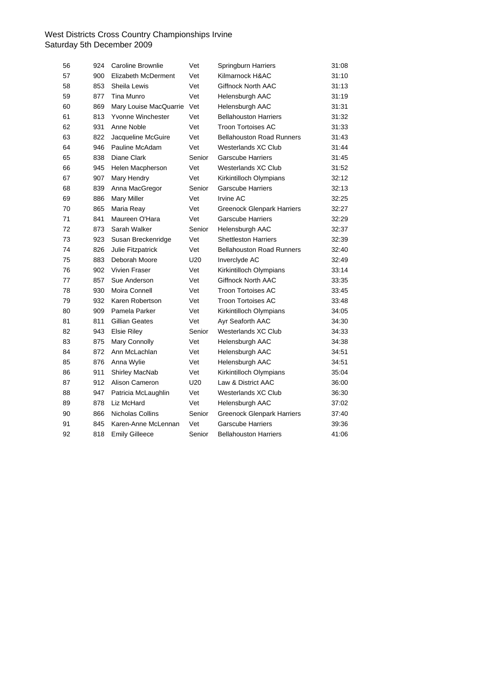| 56 | 924 | <b>Caroline Brownlie</b> | Vet             | Springburn Harriers               | 31:08 |
|----|-----|--------------------------|-----------------|-----------------------------------|-------|
| 57 | 900 | Elizabeth McDerment      | Vet             | Kilmarnock H&AC                   | 31:10 |
| 58 | 853 | Sheila Lewis             | Vet             | Giffnock North AAC                | 31:13 |
| 59 | 877 | Tina Munro               | Vet             | Helensburgh AAC                   | 31:19 |
| 60 | 869 | Mary Louise MacQuarrie   | Vet             | Helensburgh AAC                   | 31:31 |
| 61 | 813 | Yvonne Winchester        | Vet             | <b>Bellahouston Harriers</b>      | 31:32 |
| 62 | 931 | Anne Noble               | Vet             | <b>Troon Tortoises AC</b>         | 31:33 |
| 63 | 822 | Jacqueline McGuire       | Vet             | <b>Bellahouston Road Runners</b>  | 31:43 |
| 64 | 946 | Pauline McAdam           | Vet             | Westerlands XC Club               | 31:44 |
| 65 | 838 | Diane Clark              | Senior          | <b>Garscube Harriers</b>          | 31:45 |
| 66 | 945 | Helen Macpherson         | Vet             | Westerlands XC Club               | 31:52 |
| 67 | 907 | Mary Hendry              | Vet             | Kirkintilloch Olympians           | 32:12 |
| 68 | 839 | Anna MacGregor           | Senior          | <b>Garscube Harriers</b>          | 32:13 |
| 69 | 886 | <b>Mary Miller</b>       | Vet             | <b>Irvine AC</b>                  | 32:25 |
| 70 | 865 | Maria Reay               | Vet             | <b>Greenock Glenpark Harriers</b> | 32:27 |
| 71 | 841 | Maureen O'Hara           | Vet             | <b>Garscube Harriers</b>          | 32:29 |
| 72 | 873 | Sarah Walker             | Senior          | Helensburgh AAC                   | 32:37 |
| 73 | 923 | Susan Breckenridge       | Vet             | <b>Shettleston Harriers</b>       | 32:39 |
| 74 | 826 | Julie Fitzpatrick        | Vet             | <b>Bellahouston Road Runners</b>  | 32:40 |
| 75 | 883 | Deborah Moore            | U20             | Inverclyde AC                     | 32:49 |
| 76 | 902 | Vivien Fraser            | Vet             | Kirkintilloch Olympians           | 33:14 |
| 77 | 857 | Sue Anderson             | Vet             | <b>Giffnock North AAC</b>         | 33:35 |
| 78 | 930 | Moira Connell            | Vet             | <b>Troon Tortoises AC</b>         | 33:45 |
| 79 | 932 | Karen Robertson          | Vet             | <b>Troon Tortoises AC</b>         | 33:48 |
| 80 | 909 | Pamela Parker            | Vet             | Kirkintilloch Olympians           | 34:05 |
| 81 | 811 | Gillian Geates           | Vet             | Ayr Seaforth AAC                  | 34:30 |
| 82 | 943 | <b>Elsie Riley</b>       | Senior          | Westerlands XC Club               | 34:33 |
| 83 | 875 | Mary Connolly            | Vet             | Helensburgh AAC                   | 34:38 |
| 84 | 872 | Ann McLachlan            | Vet             | Helensburgh AAC                   | 34:51 |
| 85 | 876 | Anna Wylie               | Vet             | Helensburgh AAC                   | 34:51 |
| 86 | 911 | Shirley MacNab           | Vet             | Kirkintilloch Olympians           | 35:04 |
| 87 | 912 | Alison Cameron           | U <sub>20</sub> | Law & District AAC                | 36:00 |
| 88 | 947 | Patricia McLaughlin      | Vet             | Westerlands XC Club               | 36:30 |
| 89 | 878 | Liz McHard               | Vet             | Helensburgh AAC                   | 37:02 |
| 90 | 866 | Nicholas Collins         | Senior          | <b>Greenock Glenpark Harriers</b> | 37:40 |
| 91 | 845 | Karen-Anne McLennan      | Vet             | <b>Garscube Harriers</b>          | 39:36 |
| 92 | 818 | <b>Emily Gilleece</b>    | Senior          | <b>Bellahouston Harriers</b>      | 41:06 |
|    |     |                          |                 |                                   |       |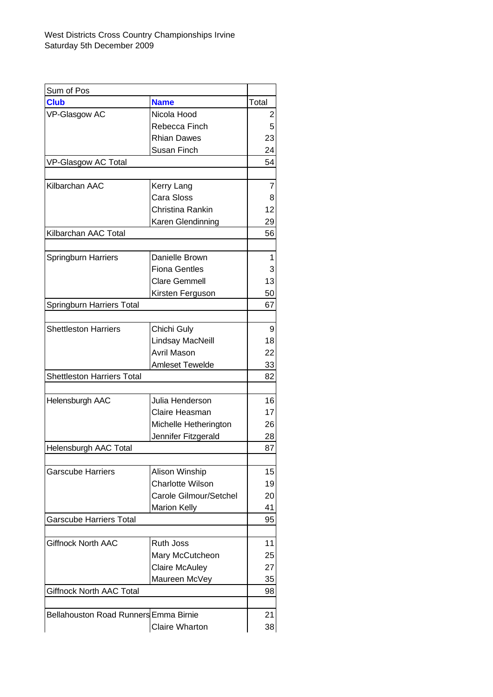| Sum of Pos                                   |                         |                |
|----------------------------------------------|-------------------------|----------------|
| <b>Club</b>                                  | <b>Name</b>             | Total          |
| VP-Glasgow AC                                | Nicola Hood             | $\overline{2}$ |
|                                              | Rebecca Finch           | 5              |
|                                              | <b>Rhian Dawes</b>      | 23             |
|                                              | Susan Finch             | 24             |
| VP-Glasgow AC Total                          |                         | 54             |
|                                              |                         |                |
| Kilbarchan AAC                               | Kerry Lang              | 7              |
|                                              | Cara Sloss              | 8              |
|                                              | Christina Rankin        | 12             |
|                                              | Karen Glendinning       | 29             |
| Kilbarchan AAC Total                         |                         | 56             |
| Springburn Harriers                          | Danielle Brown          | 1              |
|                                              | <b>Fiona Gentles</b>    | 3              |
|                                              | <b>Clare Gemmell</b>    | 13             |
|                                              |                         |                |
|                                              | Kirsten Ferguson        | 50             |
| Springburn Harriers Total                    |                         | 67             |
| <b>Shettleston Harriers</b>                  | Chichi Guly             | 9              |
|                                              | Lindsay MacNeill        | 18             |
|                                              | Avril Mason             | 22             |
|                                              | <b>Amleset Tewelde</b>  | 33             |
| <b>Shettleston Harriers Total</b>            |                         | 82             |
|                                              |                         |                |
| Helensburgh AAC                              | Julia Henderson         | 16             |
|                                              | Claire Heasman          | 17             |
|                                              | Michelle Hetherington   | 26             |
|                                              | Jennifer Fitzgerald     | 28             |
| Helensburgh AAC Total                        |                         | 87             |
|                                              |                         |                |
| <b>Garscube Harriers</b>                     | Alison Winship          | 15             |
|                                              | <b>Charlotte Wilson</b> | 19             |
|                                              | Carole Gilmour/Setchel  | 20             |
|                                              | <b>Marion Kelly</b>     | 41             |
| <b>Garscube Harriers Total</b>               |                         | 95             |
| <b>Giffnock North AAC</b>                    | Ruth Joss               | 11             |
|                                              | Mary McCutcheon         | 25             |
|                                              |                         |                |
|                                              | <b>Claire McAuley</b>   | 27             |
|                                              | Maureen McVey           | 35             |
| <b>Giffnock North AAC Total</b>              |                         | 98             |
| <b>Bellahouston Road Runners Emma Birnie</b> |                         | 21             |
|                                              | <b>Claire Wharton</b>   | 38             |
|                                              |                         |                |